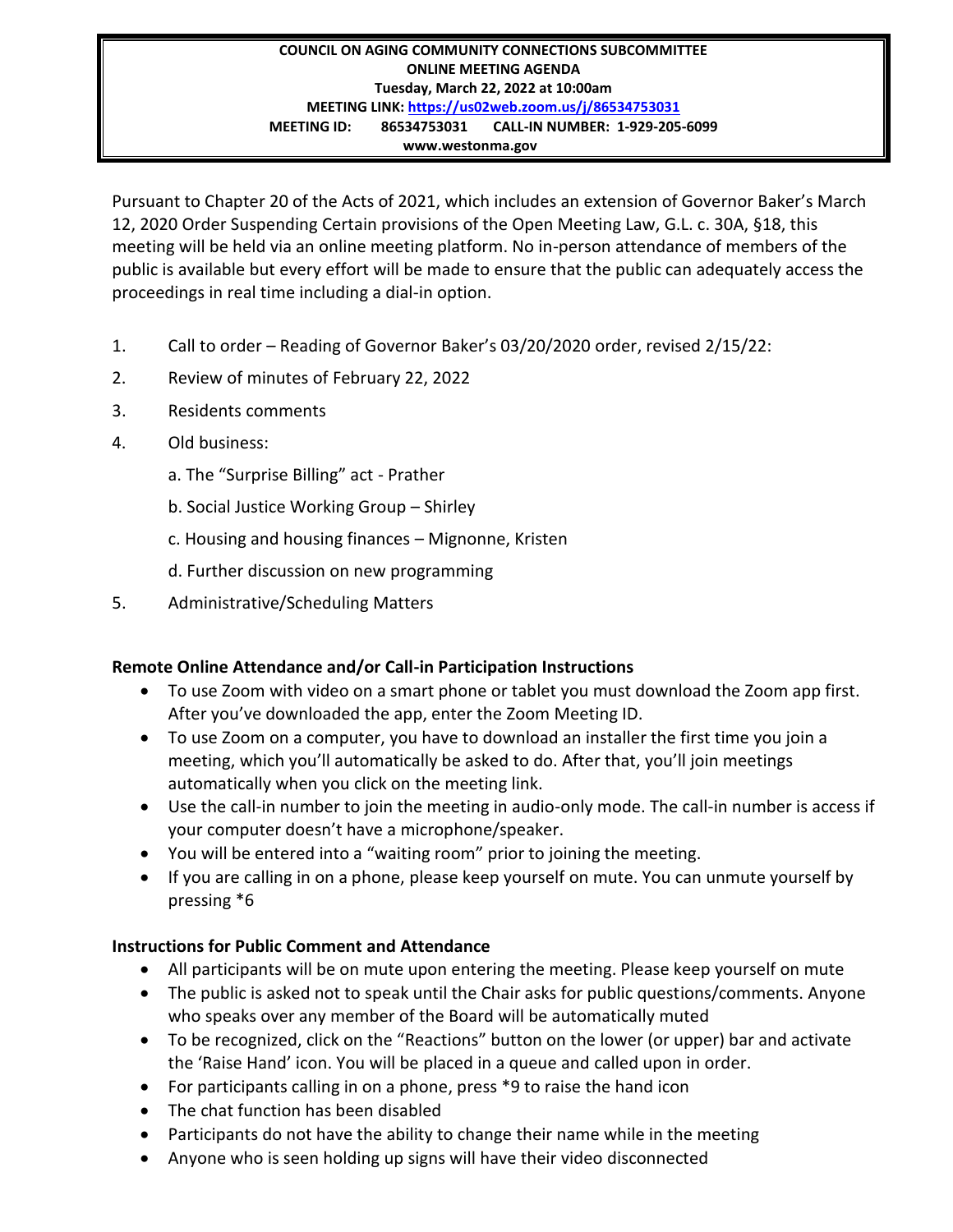## **COUNCIL ON AGING COMMUNITY CONNECTIONS SUBCOMMITTEE ONLINE MEETING AGENDA Tuesday, March 22, 2022 at 10:00am MEETING LINK:<https://us02web.zoom.us/j/86534753031> MEETING ID: 86534753031 CALL-IN NUMBER: 1-929-205-6099 www.westonma.gov**

Pursuant to Chapter 20 of the Acts of 2021, which includes an extension of Governor Baker's March 12, 2020 Order Suspending Certain provisions of the Open Meeting Law, G.L. c. 30A, §18, this meeting will be held via an online meeting platform. No in-person attendance of members of the public is available but every effort will be made to ensure that the public can adequately access the proceedings in real time including a dial-in option.

- 1. Call to order Reading of Governor Baker's 03/20/2020 order, revised 2/15/22:
- 2. Review of minutes of February 22, 2022
- 3. Residents comments
- 4. Old business:
	- a. The "Surprise Billing" act Prather
	- b. Social Justice Working Group Shirley
	- c. Housing and housing finances Mignonne, Kristen
	- d. Further discussion on new programming
- 5. Administrative/Scheduling Matters

## **Remote Online Attendance and/or Call-in Participation Instructions**

- To use Zoom with video on a smart phone or tablet you must download the Zoom app first. After you've downloaded the app, enter the Zoom Meeting ID.
- To use Zoom on a computer, you have to download an installer the first time you join a meeting, which you'll automatically be asked to do. After that, you'll join meetings automatically when you click on the meeting link.
- Use the call-in number to join the meeting in audio-only mode. The call-in number is access if your computer doesn't have a microphone/speaker.
- You will be entered into a "waiting room" prior to joining the meeting.
- If you are calling in on a phone, please keep yourself on mute. You can unmute yourself by pressing \*6

## **Instructions for Public Comment and Attendance**

- All participants will be on mute upon entering the meeting. Please keep yourself on mute
- The public is asked not to speak until the Chair asks for public questions/comments. Anyone who speaks over any member of the Board will be automatically muted
- To be recognized, click on the "Reactions" button on the lower (or upper) bar and activate the 'Raise Hand' icon. You will be placed in a queue and called upon in order.
- For participants calling in on a phone, press \*9 to raise the hand icon
- The chat function has been disabled
- Participants do not have the ability to change their name while in the meeting
- Anyone who is seen holding up signs will have their video disconnected